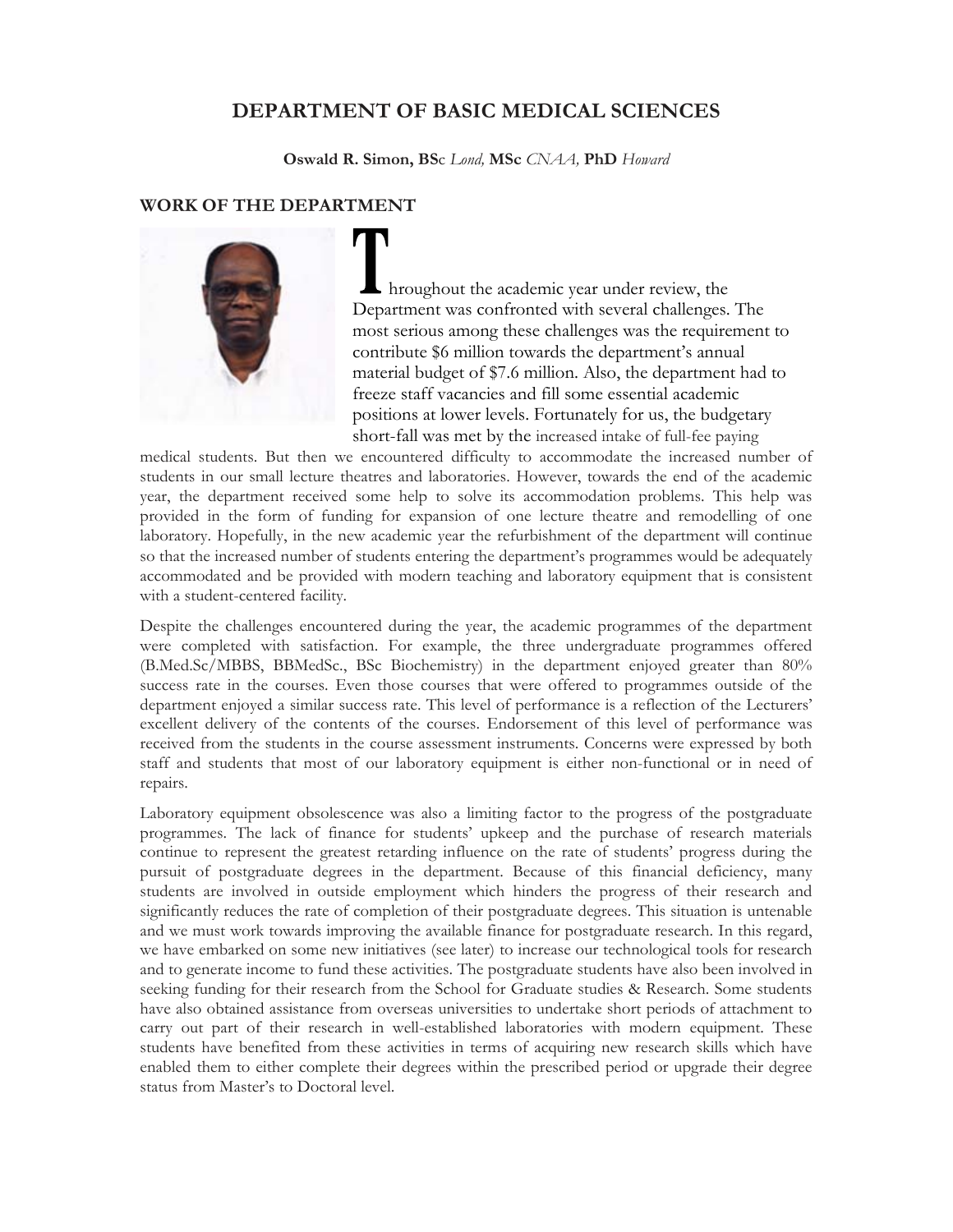# **DEPARTMENT OF BASIC MEDICAL SCIENCES**

**Oswald R. Simon, BS**c *Lond,* **MSc** *CNAA,* **PhD** *Howard* 

# **WORK OF THE DEPARTMENT**



hroughout the academic year under review, the Department was confronted with several challenges. The most serious among these challenges was the requirement to contribute \$6 million towards the department's annual material budget of \$7.6 million. Also, the department had to freeze staff vacancies and fill some essential academic positions at lower levels. Fortunately for us, the budgetary short-fall was met by the increased intake of full-fee paying

medical students. But then we encountered difficulty to accommodate the increased number of students in our small lecture theatres and laboratories. However, towards the end of the academic year, the department received some help to solve its accommodation problems. This help was provided in the form of funding for expansion of one lecture theatre and remodelling of one laboratory. Hopefully, in the new academic year the refurbishment of the department will continue so that the increased number of students entering the department's programmes would be adequately accommodated and be provided with modern teaching and laboratory equipment that is consistent with a student-centered facility.

Despite the challenges encountered during the year, the academic programmes of the department were completed with satisfaction. For example, the three undergraduate programmes offered (B.Med.Sc/MBBS, BBMedSc., BSc Biochemistry) in the department enjoyed greater than 80% success rate in the courses. Even those courses that were offered to programmes outside of the department enjoyed a similar success rate. This level of performance is a reflection of the Lecturers' excellent delivery of the contents of the courses. Endorsement of this level of performance was received from the students in the course assessment instruments. Concerns were expressed by both staff and students that most of our laboratory equipment is either non-functional or in need of repairs.

Laboratory equipment obsolescence was also a limiting factor to the progress of the postgraduate programmes. The lack of finance for students' upkeep and the purchase of research materials continue to represent the greatest retarding influence on the rate of students' progress during the pursuit of postgraduate degrees in the department. Because of this financial deficiency, many students are involved in outside employment which hinders the progress of their research and significantly reduces the rate of completion of their postgraduate degrees. This situation is untenable and we must work towards improving the available finance for postgraduate research. In this regard, we have embarked on some new initiatives (see later) to increase our technological tools for research and to generate income to fund these activities. The postgraduate students have also been involved in seeking funding for their research from the School for Graduate studies & Research. Some students have also obtained assistance from overseas universities to undertake short periods of attachment to carry out part of their research in well-established laboratories with modern equipment. These students have benefited from these activities in terms of acquiring new research skills which have enabled them to either complete their degrees within the prescribed period or upgrade their degree status from Master's to Doctoral level.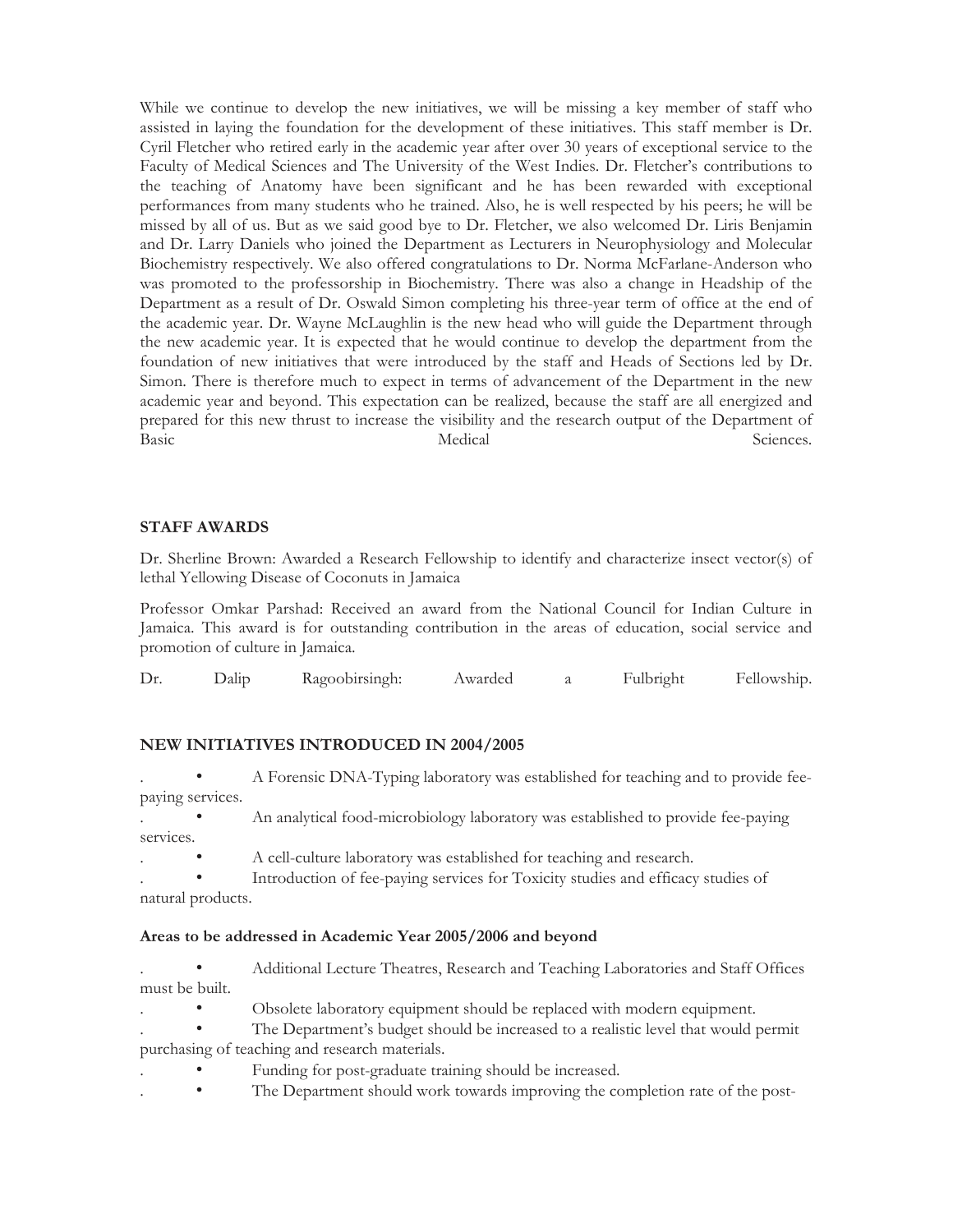While we continue to develop the new initiatives, we will be missing a key member of staff who assisted in laying the foundation for the development of these initiatives. This staff member is Dr. Cyril Fletcher who retired early in the academic year after over 30 years of exceptional service to the Faculty of Medical Sciences and The University of the West Indies. Dr. Fletcher's contributions to the teaching of Anatomy have been significant and he has been rewarded with exceptional performances from many students who he trained. Also, he is well respected by his peers; he will be missed by all of us. But as we said good bye to Dr. Fletcher, we also welcomed Dr. Liris Benjamin and Dr. Larry Daniels who joined the Department as Lecturers in Neurophysiology and Molecular Biochemistry respectively. We also offered congratulations to Dr. Norma McFarlane-Anderson who was promoted to the professorship in Biochemistry. There was also a change in Headship of the Department as a result of Dr. Oswald Simon completing his three-year term of office at the end of the academic year. Dr. Wayne McLaughlin is the new head who will guide the Department through the new academic year. It is expected that he would continue to develop the department from the foundation of new initiatives that were introduced by the staff and Heads of Sections led by Dr. Simon. There is therefore much to expect in terms of advancement of the Department in the new academic year and beyond. This expectation can be realized, because the staff are all energized and prepared for this new thrust to increase the visibility and the research output of the Department of Basic Sciences.

### **STAFF AWARDS**

Dr. Sherline Brown: Awarded a Research Fellowship to identify and characterize insect vector(s) of lethal Yellowing Disease of Coconuts in Jamaica

Professor Omkar Parshad: Received an award from the National Council for Indian Culture in Jamaica. This award is for outstanding contribution in the areas of education, social service and promotion of culture in Jamaica.

| Dr | $D$ alip | Ragoobirsingh: | Awarded | Fulbright | Fellowship. |
|----|----------|----------------|---------|-----------|-------------|
|    |          |                |         |           |             |

### **NEW INITIATIVES INTRODUCED IN 2004/2005**

. • A Forensic DNA-Typing laboratory was established for teaching and to provide feepaying services.

- . An analytical food-microbiology laboratory was established to provide fee-paying services.
- . A cell-culture laboratory was established for teaching and research.

Introduction of fee-paying services for Toxicity studies and efficacy studies of natural products.

### **Areas to be addressed in Academic Year 2005/2006 and beyond**

- . Additional Lecture Theatres, Research and Teaching Laboratories and Staff Offices must be built.
	- Obsolete laboratory equipment should be replaced with modern equipment.
- . The Department's budget should be increased to a realistic level that would permit purchasing of teaching and research materials.
- Funding for post-graduate training should be increased.
- . The Department should work towards improving the completion rate of the post-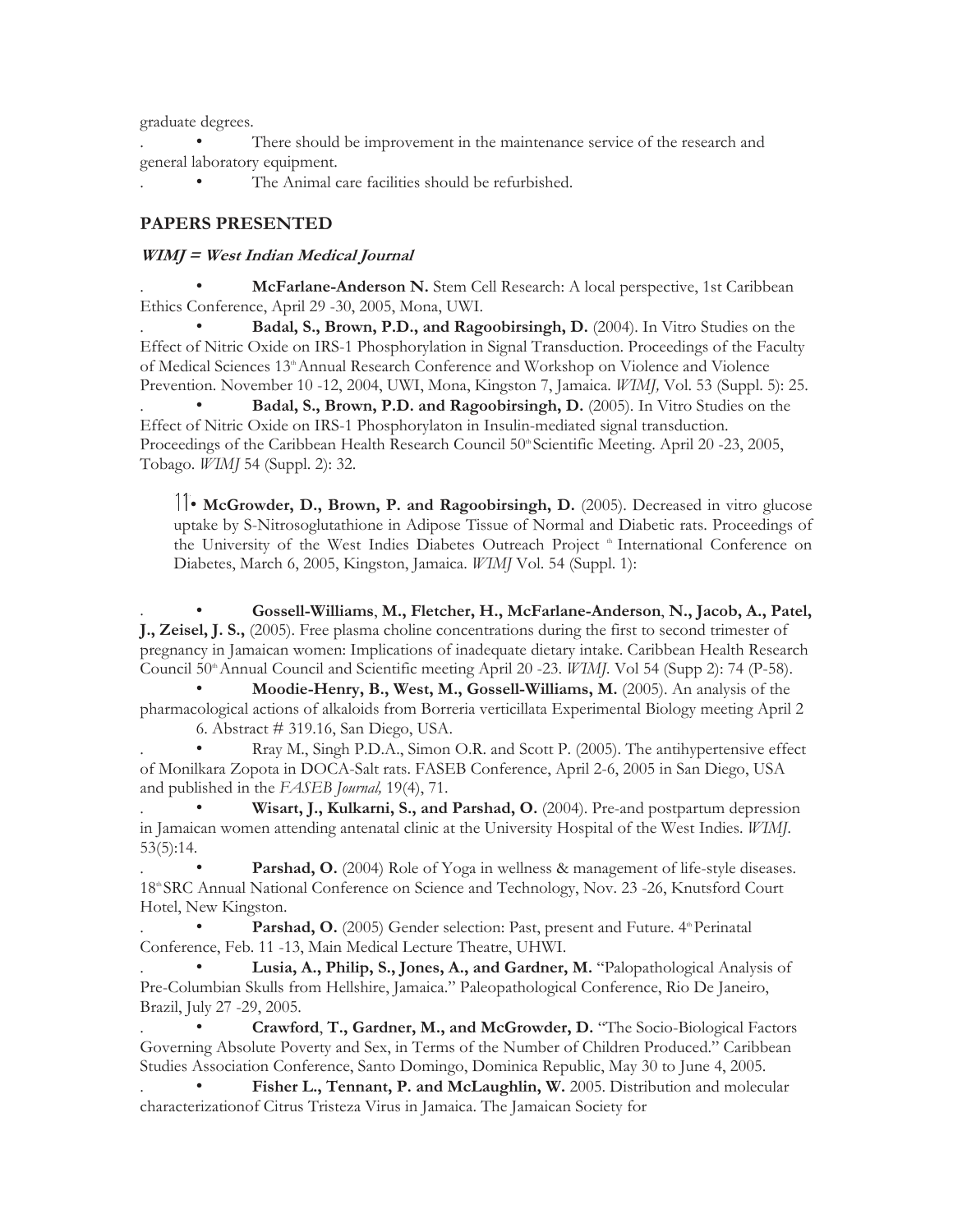graduate degrees.

There should be improvement in the maintenance service of the research and general laboratory equipment.

The Animal care facilities should be refurbished.

# **PAPERS PRESENTED**

# **WIMJ = West Indian Medical Journal**

. • **McFarlane-Anderson N.** Stem Cell Research: A local perspective, 1st Caribbean Ethics Conference, April 29 -30, 2005, Mona, UWI.

. • **Badal, S., Brown, P.D., and Ragoobirsingh, D.** (2004). In Vitro Studies on the Effect of Nitric Oxide on IRS-1 Phosphorylation in Signal Transduction. Proceedings of the Faculty of Medical Sciences 13<sup>th</sup> Annual Research Conference and Workshop on Violence and Violence Prevention. November 10 -12, 2004, UWI, Mona, Kingston 7, Jamaica. *WIMJ,* Vol. 53 (Suppl. 5): 25.

**Badal, S., Brown, P.D. and Ragoobirsingh, D.** (2005). In Vitro Studies on the Effect of Nitric Oxide on IRS-1 Phosphorylaton in Insulin-mediated signal transduction. Proceedings of the Caribbean Health Research Council 50<sup>th</sup> Scientific Meeting. April 20 -23, 2005, Tobago. *WIMJ* 54 (Suppl. 2): 32.

• **McGrowder, D., Brown, P. and Ragoobirsingh, D.** (2005). Decreased in vitro glucose uptake by S-Nitrosoglutathione in Adipose Tissue of Normal and Diabetic rats. Proceedings of the University of the West Indies Diabetes Outreach Project <sup>th</sup> International Conference on Diabetes, March 6, 2005, Kingston, Jamaica. *WIMJ* Vol. 54 (Suppl. 1):

. • **Gossell-Williams**, **M., Fletcher, H., McFarlane-Anderson**, **N., Jacob, A., Patel, J., Zeisel, J. S.,** (2005). Free plasma choline concentrations during the first to second trimester of pregnancy in Jamaican women: Implications of inadequate dietary intake. Caribbean Health Research Council 50<sup>th</sup> Annual Council and Scientific meeting April 20 -23. *WIMJ*. Vol 54 (Supp 2): 74 (P-58).

• **Moodie-Henry, B., West, M., Gossell-Williams, M.** (2005). An analysis of the pharmacological actions of alkaloids from Borreria verticillata Experimental Biology meeting April 2 6. Abstract # 319.16, San Diego, USA.

Rray M., Singh P.D.A., Simon O.R. and Scott P. (2005). The antihypertensive effect of Monilkara Zopota in DOCA-Salt rats. FASEB Conference, April 2-6, 2005 in San Diego, USA and published in the *FASEB Journal,* 19(4), 71.

. • **Wisart, J., Kulkarni, S., and Parshad, O.** (2004). Pre-and postpartum depression in Jamaican women attending antenatal clinic at the University Hospital of the West Indies. *WIMJ.*  53(5):14.

**Parshad, O.** (2004) Role of Yoga in wellness & management of life-style diseases. 18<sup>th</sup> SRC Annual National Conference on Science and Technology, Nov. 23 -26, Knutsford Court Hotel, New Kingston.

Parshad, O. (2005) Gender selection: Past, present and Future. 4<sup>th</sup> Perinatal Conference, Feb. 11 -13, Main Medical Lecture Theatre, UHWI.

Lusia, A., Philip, S., Jones, A., and Gardner, M. "Palopathological Analysis of Pre-Columbian Skulls from Hellshire, Jamaica." Paleopathological Conference, Rio De Janeiro, Brazil, July 27 -29, 2005.

. • **Crawford**, **T., Gardner, M., and McGrowder, D.** "The Socio-Biological Factors Governing Absolute Poverty and Sex, in Terms of the Number of Children Produced." Caribbean Studies Association Conference, Santo Domingo, Dominica Republic, May 30 to June 4, 2005.

Fisher L., Tennant, P. and McLaughlin, W. 2005. Distribution and molecular characterizationof Citrus Tristeza Virus in Jamaica. The Jamaican Society for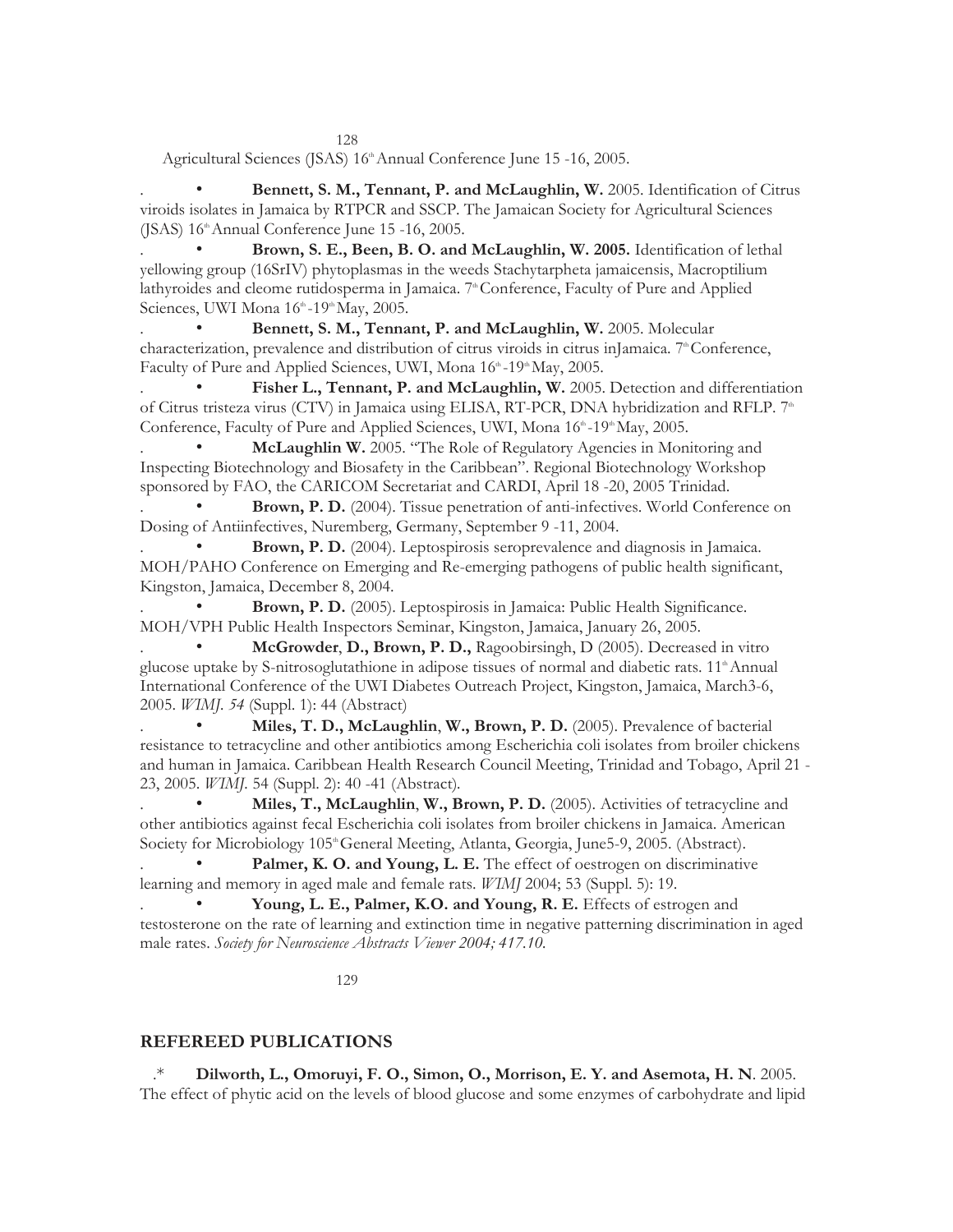128

Agricultural Sciences (JSAS) 16<sup>th</sup> Annual Conference June 15 -16, 2005.

. • **Bennett, S. M., Tennant, P. and McLaughlin, W.** 2005. Identification of Citrus viroids isolates in Jamaica by RTPCR and SSCP. The Jamaican Society for Agricultural Sciences (JSAS)  $16<sup>th</sup>$  Annual Conference June 15 -16, 2005.

. • **Brown, S. E., Been, B. O. and McLaughlin, W. 2005.** Identification of lethal yellowing group (16SrIV) phytoplasmas in the weeds Stachytarpheta jamaicensis, Macroptilium lathyroides and cleome rutidosperma in Jamaica. 7<sup>th</sup> Conference, Faculty of Pure and Applied Sciences, UWI Mona 16<sup>th</sup> -19<sup>th</sup> May, 2005.

Bennett, S. M., Tennant, P. and McLaughlin, W. 2005. Molecular characterization, prevalence and distribution of citrus viroids in citrus inJamaica.  $7^{\circ}$ Conference, Faculty of Pure and Applied Sciences, UWI, Mona 16<sup>th</sup> -19<sup>th</sup> May, 2005.

Fisher L., Tennant, P. and McLaughlin, W. 2005. Detection and differentiation of Citrus tristeza virus (CTV) in Jamaica using ELISA, RT-PCR, DNA hybridization and RFLP. 7<sup>th</sup> Conference, Faculty of Pure and Applied Sciences, UWI, Mona 16<sup>th</sup> -19<sup>th</sup> May, 2005.

. • **McLaughlin W.** 2005. "The Role of Regulatory Agencies in Monitoring and Inspecting Biotechnology and Biosafety in the Caribbean". Regional Biotechnology Workshop sponsored by FAO, the CARICOM Secretariat and CARDI, April 18 -20, 2005 Trinidad.

. • **Brown, P. D.** (2004). Tissue penetration of anti-infectives. World Conference on Dosing of Antiinfectives, Nuremberg, Germany, September 9 -11, 2004.

Brown, P. D. (2004). Leptospirosis seroprevalence and diagnosis in Jamaica. MOH/PAHO Conference on Emerging and Re-emerging pathogens of public health significant, Kingston, Jamaica, December 8, 2004.

. • **Brown, P. D.** (2005). Leptospirosis in Jamaica: Public Health Significance. MOH/VPH Public Health Inspectors Seminar, Kingston, Jamaica, January 26, 2005.

. • **McGrowder**, **D., Brown, P. D.,** Ragoobirsingh, D (2005). Decreased in vitro glucose uptake by S-nitrosoglutathione in adipose tissues of normal and diabetic rats. 11<sup>th</sup> Annual International Conference of the UWI Diabetes Outreach Project, Kingston, Jamaica, March3-6, 2005. *WIMJ. 54* (Suppl. 1): 44 (Abstract)

. • **Miles, T. D., McLaughlin**, **W., Brown, P. D.** (2005). Prevalence of bacterial resistance to tetracycline and other antibiotics among Escherichia coli isolates from broiler chickens and human in Jamaica. Caribbean Health Research Council Meeting, Trinidad and Tobago, April 21 - 23, 2005. *WIMJ.* 54 (Suppl. 2): 40 -41 (Abstract)*.* 

. • **Miles, T., McLaughlin**, **W., Brown, P. D.** (2005). Activities of tetracycline and other antibiotics against fecal Escherichia coli isolates from broiler chickens in Jamaica. American Society for Microbiology 105<sup>th</sup> General Meeting, Atlanta, Georgia, June5-9, 2005. (Abstract).

Palmer, K. O. and Young, L. E. The effect of oestrogen on discriminative learning and memory in aged male and female rats. *WIMJ* 2004; 53 (Suppl. 5): 19.

Young, L. E., Palmer, K.O. and Young, R. E. Effects of estrogen and testosterone on the rate of learning and extinction time in negative patterning discrimination in aged male rates. *Society for Neuroscience Abstracts Viewer 2004; 417.10.* 

129

### **REFEREED PUBLICATIONS**

.\* **Dilworth, L., Omoruyi, F. O., Simon, O., Morrison, E. Y. and Asemota, H. N**. 2005. The effect of phytic acid on the levels of blood glucose and some enzymes of carbohydrate and lipid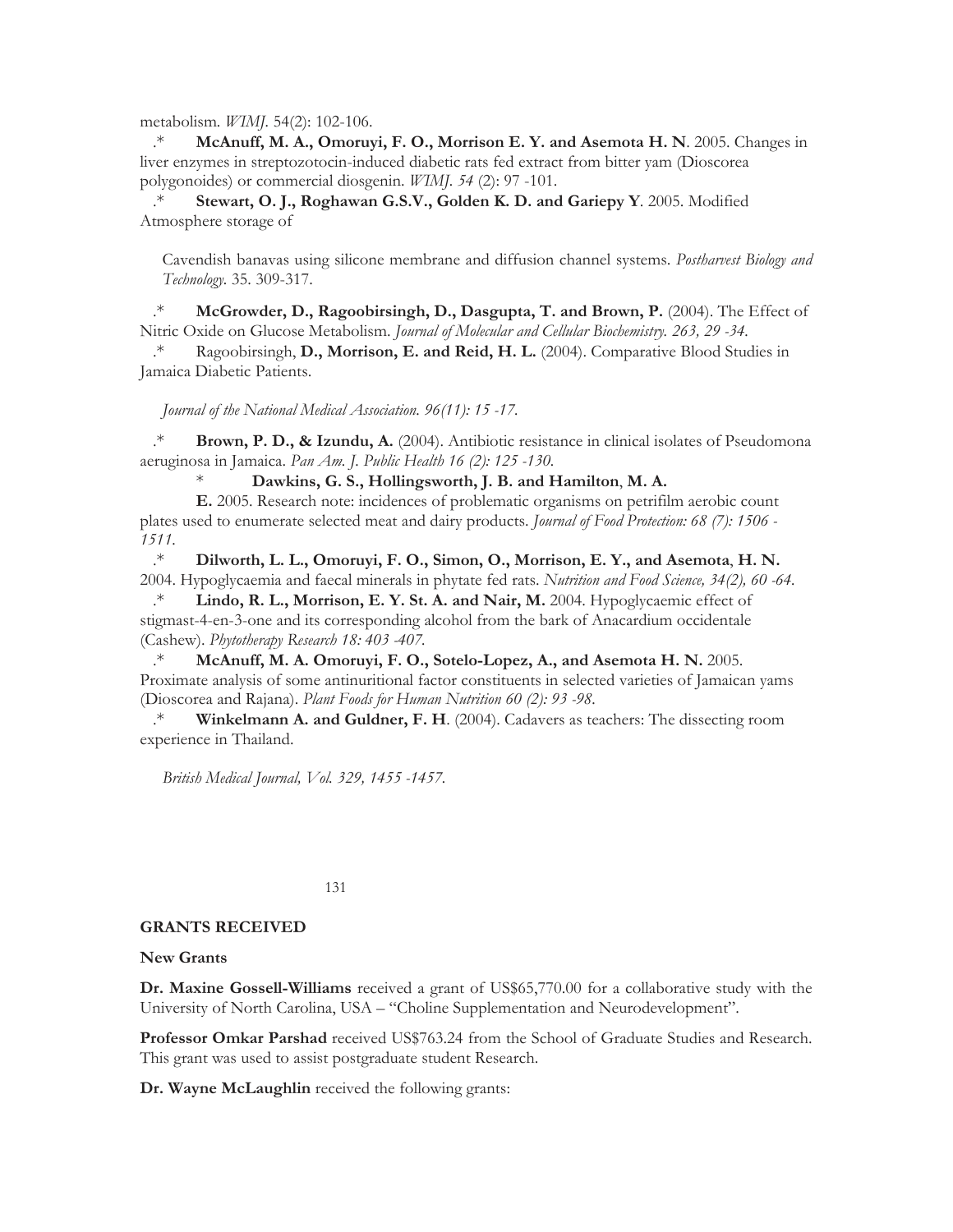metabolism*. WIMJ.* 54(2): 102-106.

.\* **McAnuff, M. A., Omoruyi, F. O., Morrison E. Y. and Asemota H. N**. 2005. Changes in liver enzymes in streptozotocin-induced diabetic rats fed extract from bitter yam (Dioscorea polygonoides) or commercial diosgenin. *WIMJ. 54* (2): 97 -101.

.\* **Stewart, O. J., Roghawan G.S.V., Golden K. D. and Gariepy Y**. 2005. Modified Atmosphere storage of

Cavendish banavas using silicone membrane and diffusion channel systems. *Postharvest Biology and Technology.* 35. 309-317.

.\* **McGrowder, D., Ragoobirsingh, D., Dasgupta, T. and Brown, P.** (2004). The Effect of Nitric Oxide on Glucose Metabolism. *Journal of Molecular and Cellular Biochemistry. 263, 29 -34.* 

Ragoobirsingh, D., Morrison, E. and Reid, H. L. (2004). Comparative Blood Studies in Jamaica Diabetic Patients.

*Journal of the National Medical Association. 96(11): 15 -17.* 

.\* **Brown, P. D., & Izundu, A.** (2004). Antibiotic resistance in clinical isolates of Pseudomona aeruginosa in Jamaica. *Pan Am. J. Public Health 16 (2): 125 -130.* 

\* **Dawkins, G. S., Hollingsworth, J. B. and Hamilton**, **M. A.** 

**E.** 2005. Research note: incidences of problematic organisms on petrifilm aerobic count plates used to enumerate selected meat and dairy products. *Journal of Food Protection: 68 (7): 1506 - 1511.* 

.\* **Dilworth, L. L., Omoruyi, F. O., Simon, O., Morrison, E. Y., and Asemota**, **H. N.**  2004. Hypoglycaemia and faecal minerals in phytate fed rats. *Nutrition and Food Science, 34(2), 60 -64.* 

.\* **Lindo, R. L., Morrison, E. Y. St. A. and Nair, M.** 2004. Hypoglycaemic effect of stigmast-4-en-3-one and its corresponding alcohol from the bark of Anacardium occidentale (Cashew). *Phytotherapy Research 18: 403 -407.* 

.\* **McAnuff, M. A. Omoruyi, F. O., Sotelo-Lopez, A., and Asemota H. N.** 2005. Proximate analysis of some antinuritional factor constituents in selected varieties of Jamaican yams (Dioscorea and Rajana). *Plant Foods for Human Nutrition 60 (2): 93 -98.* 

.\* **Winkelmann A. and Guldner, F. H**. (2004). Cadavers as teachers: The dissecting room experience in Thailand.

*British Medical Journal, Vol. 329, 1455 -1457.* 

131

#### **GRANTS RECEIVED**

#### **New Grants**

**Dr. Maxine Gossell-Williams** received a grant of US\$65,770.00 for a collaborative study with the University of North Carolina, USA – "Choline Supplementation and Neurodevelopment".

**Professor Omkar Parshad** received US\$763.24 from the School of Graduate Studies and Research. This grant was used to assist postgraduate student Research.

**Dr. Wayne McLaughlin** received the following grants: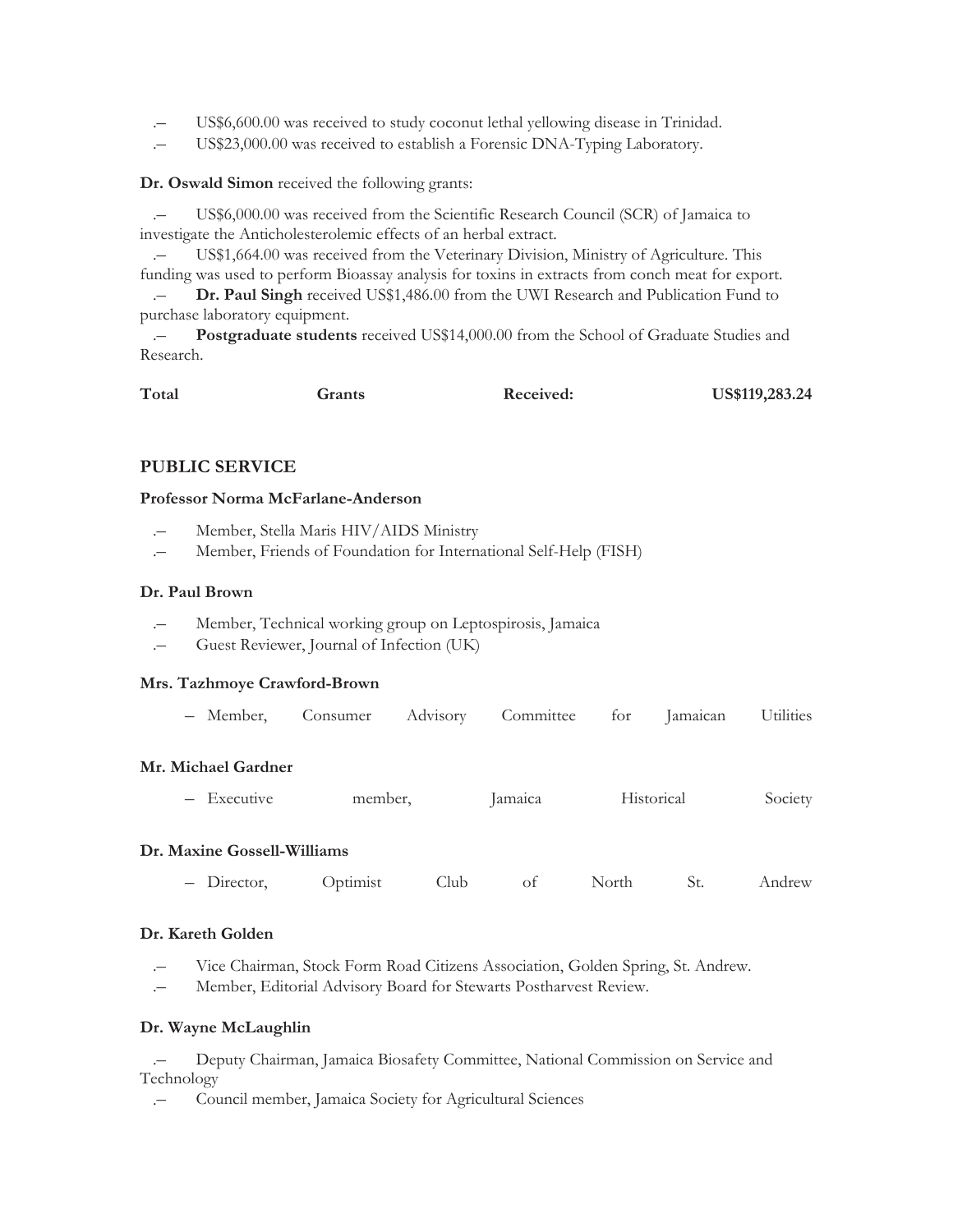- .– US\$6,600.00 was received to study coconut lethal yellowing disease in Trinidad.
- .– US\$23,000.00 was received to establish a Forensic DNA-Typing Laboratory.

**Dr. Oswald Simon** received the following grants:

.– US\$6,000.00 was received from the Scientific Research Council (SCR) of Jamaica to investigate the Anticholesterolemic effects of an herbal extract.

US\$1,664.00 was received from the Veterinary Division, Ministry of Agriculture. This funding was used to perform Bioassay analysis for toxins in extracts from conch meat for export.

.– **Dr. Paul Singh** received US\$1,486.00 from the UWI Research and Publication Fund to purchase laboratory equipment.

.– **Postgraduate students** received US\$14,000.00 from the School of Graduate Studies and Research.

| Total | Grants | Received: | US\$119,283.24 |
|-------|--------|-----------|----------------|
|       |        |           |                |

# **PUBLIC SERVICE**

### **Professor Norma McFarlane-Anderson**

- .– Member, Stella Maris HIV/AIDS Ministry
- .– Member, Friends of Foundation for International Self-Help (FISH)

### **Dr. Paul Brown**

- .– Member, Technical working group on Leptospirosis, Jamaica
- .– Guest Reviewer, Journal of Infection (UK)

### **Mrs. Tazhmoye Crawford-Brown**

| Member. | Consumer | Advisorv | Committee | for | the contract of the contract of the contract of the contract of the contract of<br>Jamaican | Utilities |
|---------|----------|----------|-----------|-----|---------------------------------------------------------------------------------------------|-----------|
|---------|----------|----------|-----------|-----|---------------------------------------------------------------------------------------------|-----------|

### **Mr. Michael Gardner**

– Executive member, Jamaica Historical Society

### **Dr. Maxine Gossell-Williams**

– Director, Optimist Club of North St. Andrew

### **Dr. Kareth Golden**

- .– Vice Chairman, Stock Form Road Citizens Association, Golden Spring, St. Andrew.
- .– Member, Editorial Advisory Board for Stewarts Postharvest Review.

### **Dr. Wayne McLaughlin**

.– Deputy Chairman, Jamaica Biosafety Committee, National Commission on Service and Technology

.– Council member, Jamaica Society for Agricultural Sciences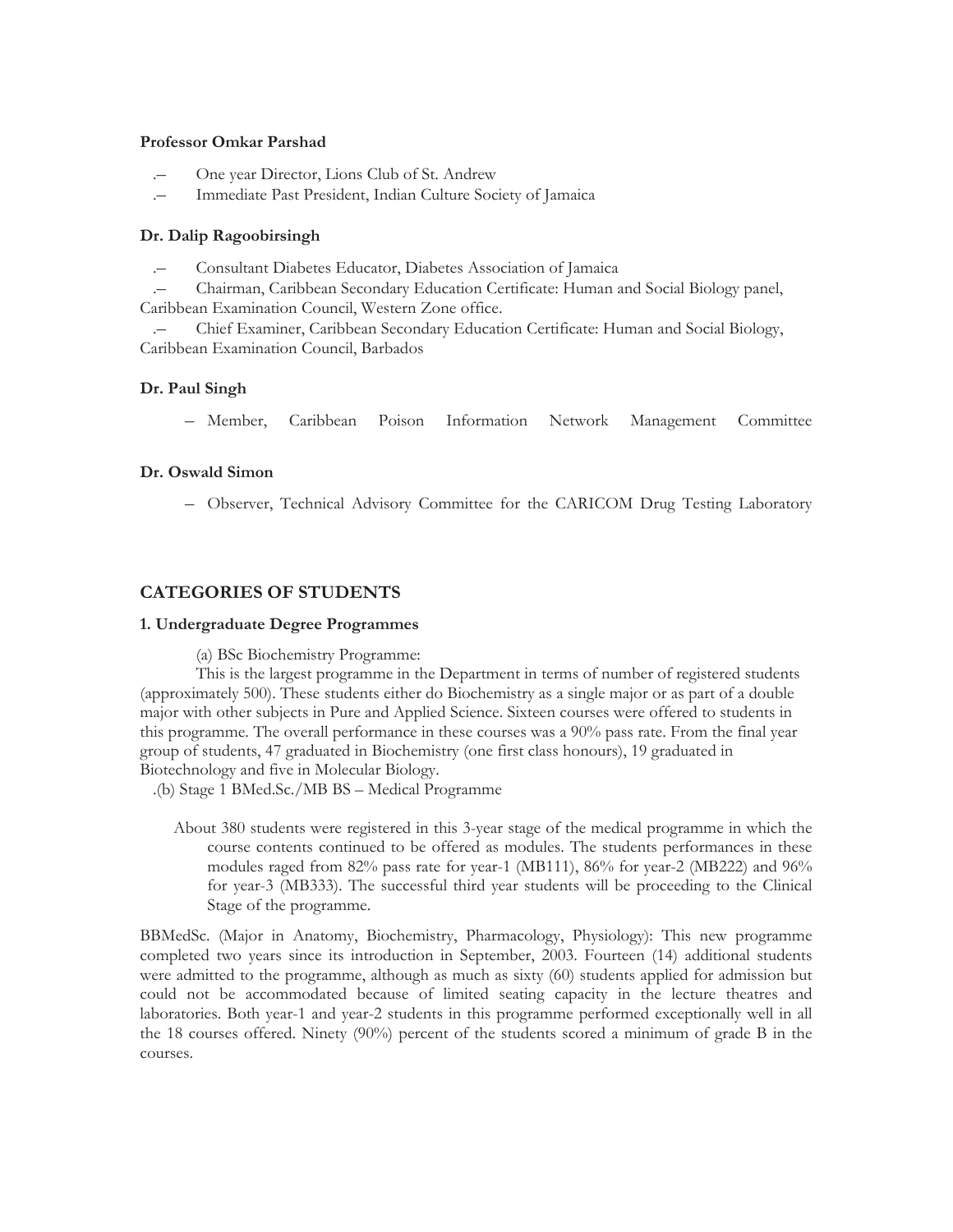### **Professor Omkar Parshad**

- .– One year Director, Lions Club of St. Andrew
- .– Immediate Past President, Indian Culture Society of Jamaica

### **Dr. Dalip Ragoobirsingh**

.– Consultant Diabetes Educator, Diabetes Association of Jamaica

.– Chairman, Caribbean Secondary Education Certificate: Human and Social Biology panel, Caribbean Examination Council, Western Zone office.

.– Chief Examiner, Caribbean Secondary Education Certificate: Human and Social Biology, Caribbean Examination Council, Barbados

### **Dr. Paul Singh**

– Member, Caribbean Poison Information Network Management Committee

### **Dr. Oswald Simon**

– Observer, Technical Advisory Committee for the CARICOM Drug Testing Laboratory

# **CATEGORIES OF STUDENTS**

### **1. Undergraduate Degree Programmes**

(a) BSc Biochemistry Programme:

This is the largest programme in the Department in terms of number of registered students (approximately 500). These students either do Biochemistry as a single major or as part of a double major with other subjects in Pure and Applied Science. Sixteen courses were offered to students in this programme. The overall performance in these courses was a 90% pass rate. From the final year group of students, 47 graduated in Biochemistry (one first class honours), 19 graduated in Biotechnology and five in Molecular Biology.

.(b) Stage 1 BMed.Sc./MB BS – Medical Programme

About 380 students were registered in this 3-year stage of the medical programme in which the course contents continued to be offered as modules. The students performances in these modules raged from 82% pass rate for year-1 (MB111), 86% for year-2 (MB222) and 96% for year-3 (MB333). The successful third year students will be proceeding to the Clinical Stage of the programme.

BBMedSc. (Major in Anatomy, Biochemistry, Pharmacology, Physiology): This new programme completed two years since its introduction in September, 2003. Fourteen (14) additional students were admitted to the programme, although as much as sixty (60) students applied for admission but could not be accommodated because of limited seating capacity in the lecture theatres and laboratories. Both year-1 and year-2 students in this programme performed exceptionally well in all the 18 courses offered. Ninety (90%) percent of the students scored a minimum of grade B in the courses.